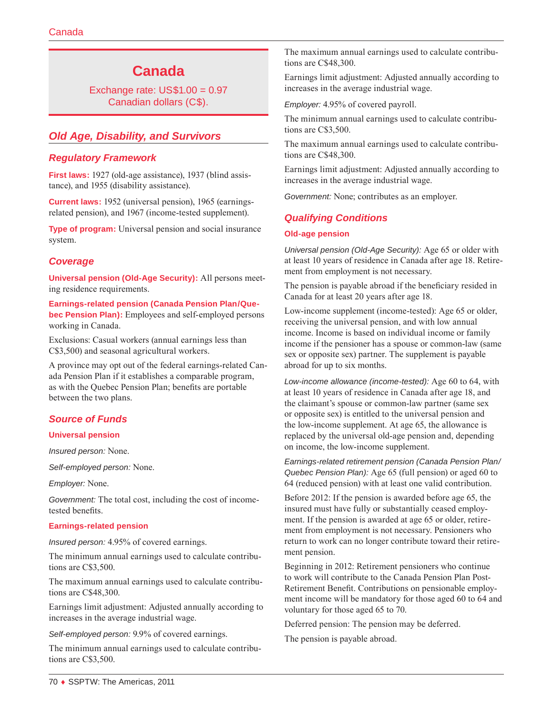# **Canada**

Exchange rate: US\$1.00 = 0.97 Canadian dollars (C\$).

# *Old Age, Disability, and Survivors*

# *Regulatory Framework*

**First laws:** 1927 (old-age assistance), 1937 (blind assistance), and 1955 (disability assistance).

**Current laws:** 1952 (universal pension), 1965 (earningsrelated pension), and 1967 (income-tested supplement).

**Type of program:** Universal pension and social insurance system.

# *Coverage*

**Universal pension (Old-Age Security):** All persons meeting residence requirements.

**Earnings-related pension (Canada Pension Plan/Quebec Pension Plan):** Employees and self-employed persons working in Canada.

Exclusions: Casual workers (annual earnings less than C\$3,500) and seasonal agricultural workers.

A province may opt out of the federal earnings-related Canada Pension Plan if it establishes a comparable program, as with the Quebec Pension Plan; benefits are portable between the two plans.

# *Source of Funds*

### **Universal pension**

*Insured person:* None.

*Self-employed person:* None.

*Employer:* None.

*Government:* The total cost, including the cost of incometested benefits.

### **Earnings-related pension**

*Insured person:* 4.95% of covered earnings.

The minimum annual earnings used to calculate contributions are C\$3,500.

The maximum annual earnings used to calculate contributions are C\$48,300.

Earnings limit adjustment: Adjusted annually according to increases in the average industrial wage.

*Self-employed person:* 9.9% of covered earnings.

The minimum annual earnings used to calculate contributions are C\$3,500.

The maximum annual earnings used to calculate contributions are C\$48,300.

Earnings limit adjustment: Adjusted annually according to increases in the average industrial wage.

*Employer:* 4.95% of covered payroll.

The minimum annual earnings used to calculate contributions are C\$3,500.

The maximum annual earnings used to calculate contributions are C\$48,300.

Earnings limit adjustment: Adjusted annually according to increases in the average industrial wage.

*Government:* None; contributes as an employer.

# *Qualifying Conditions*

#### **Old-age pension**

*Universal pension (Old-Age Security):* Age 65 or older with at least 10 years of residence in Canada after age 18. Retirement from employment is not necessary.

The pension is payable abroad if the beneficiary resided in Canada for at least 20 years after age 18.

Low-income supplement (income-tested): Age 65 or older, receiving the universal pension, and with low annual income. Income is based on individual income or family income if the pensioner has a spouse or common-law (same sex or opposite sex) partner. The supplement is payable abroad for up to six months.

*Low-income allowance (income-tested):* Age 60 to 64, with at least 10 years of residence in Canada after age 18, and the claimant's spouse or common-law partner (same sex or opposite sex) is entitled to the universal pension and the low-income supplement. At age 65, the allowance is replaced by the universal old-age pension and, depending on income, the low-income supplement.

*Earnings-related retirement pension (Canada Pension Plan/ Quebec Pension Plan):* Age 65 (full pension) or aged 60 to 64 (reduced pension) with at least one valid contribution.

Before 2012: If the pension is awarded before age 65, the insured must have fully or substantially ceased employment. If the pension is awarded at age 65 or older, retirement from employment is not necessary. Pensioners who return to work can no longer contribute toward their retirement pension.

Beginning in 2012: Retirement pensioners who continue to work will contribute to the Canada Pension Plan Post-Retirement Benefit. Contributions on pensionable employment income will be mandatory for those aged 60 to 64 and voluntary for those aged 65 to 70.

Deferred pension: The pension may be deferred.

The pension is payable abroad.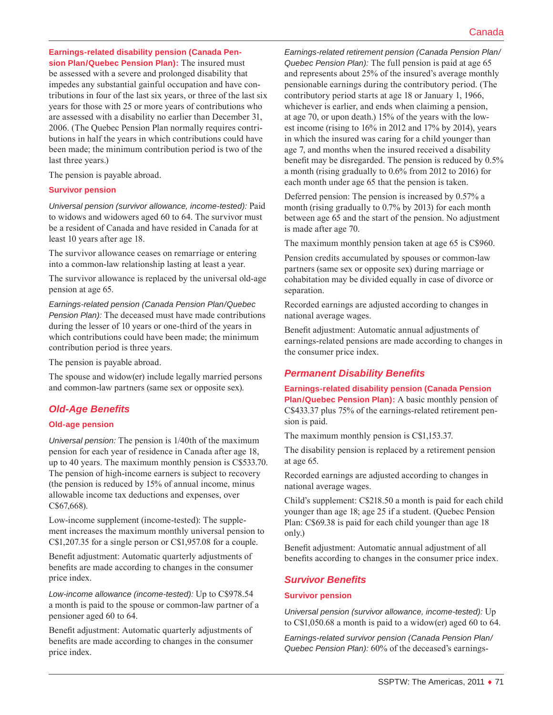### **Earnings-related disability pension (Canada Pension Plan/Quebec Pension Plan):** The insured must be assessed with a severe and prolonged disability that impedes any substantial gainful occupation and have contributions in four of the last six years, or three of the last six years for those with 25 or more years of contributions who are assessed with a disability no earlier than December 31, 2006. (The Quebec Pension Plan normally requires contributions in half the years in which contributions could have been made; the minimum contribution period is two of the

The pension is payable abroad.

#### **Survivor pension**

last three years.)

*Universal pension (survivor allowance, income-tested):* Paid to widows and widowers aged 60 to 64. The survivor must be a resident of Canada and have resided in Canada for at least 10 years after age 18.

The survivor allowance ceases on remarriage or entering into a common-law relationship lasting at least a year.

The survivor allowance is replaced by the universal old-age pension at age 65.

*Earnings-related pension (Canada Pension Plan/Quebec Pension Plan):* The deceased must have made contributions during the lesser of 10 years or one-third of the years in which contributions could have been made; the minimum contribution period is three years.

The pension is payable abroad.

The spouse and widow(er) include legally married persons and common-law partners (same sex or opposite sex).

# *Old-Age Benefits*

### **Old-age pension**

*Universal pension:* The pension is 1/40th of the maximum pension for each year of residence in Canada after age 18, up to 40 years. The maximum monthly pension is C\$533.70. The pension of high-income earners is subject to recovery (the pension is reduced by 15% of annual income, minus allowable income tax deductions and expenses, over C\$67,668).

Low-income supplement (income-tested): The supplement increases the maximum monthly universal pension to C\$1,207.35 for a single person or C\$1,957.08 for a couple.

Benefit adjustment: Automatic quarterly adjustments of benefits are made according to changes in the consumer price index.

*Low-income allowance (income-tested):* Up to C\$978.54 a month is paid to the spouse or common-law partner of a pensioner aged 60 to 64.

Benefit adjustment: Automatic quarterly adjustments of benefits are made according to changes in the consumer price index.

*Earnings-related retirement pension (Canada Pension Plan/ Quebec Pension Plan):* The full pension is paid at age 65 and represents about 25% of the insured's average monthly pensionable earnings during the contributory period. (The contributory period starts at age 18 or January 1, 1966, whichever is earlier, and ends when claiming a pension, at age 70, or upon death.) 15% of the years with the lowest income (rising to 16% in 2012 and 17% by 2014), years in which the insured was caring for a child younger than age 7, and months when the insured received a disability benefit may be disregarded. The pension is reduced by 0.5% a month (rising gradually to 0.6% from 2012 to 2016) for each month under age 65 that the pension is taken.

Deferred pension: The pension is increased by 0.57% a month (rising gradually to 0.7% by 2013) for each month between age 65 and the start of the pension. No adjustment is made after age 70.

The maximum monthly pension taken at age 65 is C\$960.

Pension credits accumulated by spouses or common-law partners (same sex or opposite sex) during marriage or cohabitation may be divided equally in case of divorce or separation.

Recorded earnings are adjusted according to changes in national average wages.

Benefit adjustment: Automatic annual adjustments of earnings-related pensions are made according to changes in the consumer price index.

# *Permanent Disability Benefits*

#### **Earnings-related disability pension (Canada Pension**

**Plan/Quebec Pension Plan):** A basic monthly pension of C\$433.37 plus 75% of the earnings-related retirement pension is paid.

The maximum monthly pension is C\$1,153.37.

The disability pension is replaced by a retirement pension at age 65.

Recorded earnings are adjusted according to changes in national average wages.

Child's supplement: C\$218.50 a month is paid for each child younger than age 18; age 25 if a student. (Quebec Pension Plan: C\$69.38 is paid for each child younger than age 18 only.)

Benefit adjustment: Automatic annual adjustment of all benefits according to changes in the consumer price index.

# *Survivor Benefits*

### **Survivor pension**

*Universal pension (survivor allowance, income-tested):* Up to C\$1,050.68 a month is paid to a widow(er) aged 60 to 64.

*Earnings-related survivor pension (Canada Pension Plan/ Quebec Pension Plan):* 60% of the deceased's earnings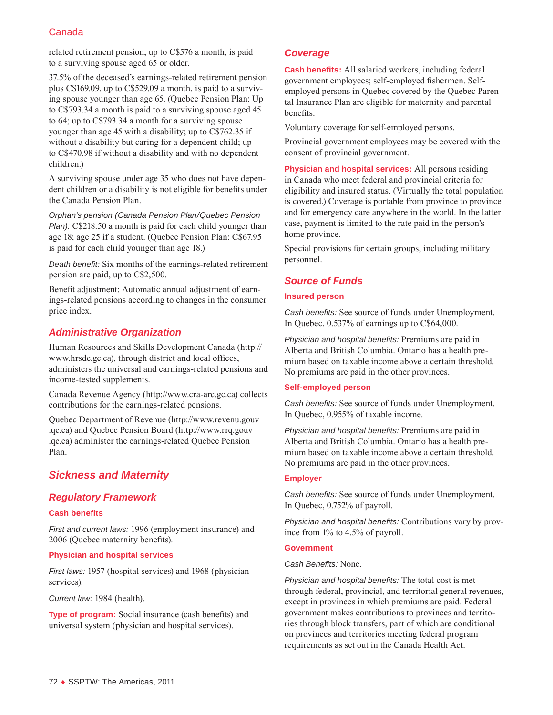related retirement pension, up to C\$576 a month, is paid to a surviving spouse aged 65 or older.

37.5% of the deceased's earnings-related retirement pension plus C\$169.09, up to C\$529.09 a month, is paid to a surviving spouse younger than age 65. (Quebec Pension Plan: Up to C\$793.34 a month is paid to a surviving spouse aged 45 to 64; up to C\$793.34 a month for a surviving spouse younger than age 45 with a disability; up to C\$762.35 if without a disability but caring for a dependent child; up to C\$470.98 if without a disability and with no dependent children.)

A surviving spouse under age 35 who does not have dependent children or a disability is not eligible for benefits under the Canada Pension Plan.

*Orphan's pension (Canada Pension Plan/Quebec Pension Plan)*: C\$218.50 a month is paid for each child younger than age 18; age 25 if a student. (Quebec Pension Plan: C\$67.95 is paid for each child younger than age 18.)

*Death benefit:* Six months of the earnings-related retirement pension are paid, up to C\$2,500.

Benefit adjustment: Automatic annual adjustment of earnings-related pensions according to changes in the consumer price index.

# *Administrative Organization*

Human Resources and Skills Development Canada [\(http://](http://www.hrsdc.gc.ca) [www.hrsdc.gc.ca\)](http://www.hrsdc.gc.ca), through district and local offices, administers the universal and earnings-related pensions and income-tested supplements.

Canada Revenue Agency (<http://www.cra-arc.gc.ca>) collects contributions for the earnings-related pensions.

Quebec Department of Revenue ([http://www.revenu.gouv](http://www.revenu.gouv.qc.ca) [.qc.ca\)](http://www.revenu.gouv.qc.ca) and Quebec Pension Board ([http://www.rrq.gouv](http://www.rrq.gouv.qc.ca) [.qc.ca\)](http://www.rrq.gouv.qc.ca) administer the earnings-related Quebec Pension Plan.

# *Sickness and Maternity*

### *Regulatory Framework*

### **Cash benefits**

*First and current laws:* 1996 (employment insurance) and 2006 (Quebec maternity benefits).

#### **Physician and hospital services**

*First laws:* 1957 (hospital services) and 1968 (physician services).

*Current law:* 1984 (health).

**Type of program:** Social insurance (cash benefits) and universal system (physician and hospital services).

### *Coverage*

**Cash benefits:** All salaried workers, including federal government employees; self-employed fishermen. Selfemployed persons in Quebec covered by the Quebec Parental Insurance Plan are eligible for maternity and parental benefits.

Voluntary coverage for self-employed persons.

Provincial government employees may be covered with the consent of provincial government.

**Physician and hospital services:** All persons residing in Canada who meet federal and provincial criteria for eligibility and insured status. (Virtually the total population is covered.) Coverage is portable from province to province and for emergency care anywhere in the world. In the latter case, payment is limited to the rate paid in the person's home province.

Special provisions for certain groups, including military personnel.

# *Source of Funds*

### **Insured person**

*Cash benefits:* See source of funds under Unemployment. In Quebec, 0.537% of earnings up to C\$64,000.

*Physician and hospital benefits:* Premiums are paid in Alberta and British Columbia. Ontario has a health premium based on taxable income above a certain threshold. No premiums are paid in the other provinces.

#### **Self-employed person**

*Cash benefits:* See source of funds under Unemployment. In Quebec, 0.955% of taxable income.

*Physician and hospital benefits:* Premiums are paid in Alberta and British Columbia. Ontario has a health premium based on taxable income above a certain threshold. No premiums are paid in the other provinces.

#### **Employer**

*Cash benefits:* See source of funds under Unemployment. In Quebec, 0.752% of payroll.

*Physician and hospital benefits:* Contributions vary by province from 1% to 4.5% of payroll.

#### **Government**

#### *Cash Benefits:* None.

*Physician and hospital benefits:* The total cost is met through federal, provincial, and territorial general revenues, except in provinces in which premiums are paid. Federal government makes contributions to provinces and territories through block transfers, part of which are conditional on provinces and territories meeting federal program requirements as set out in the Canada Health Act.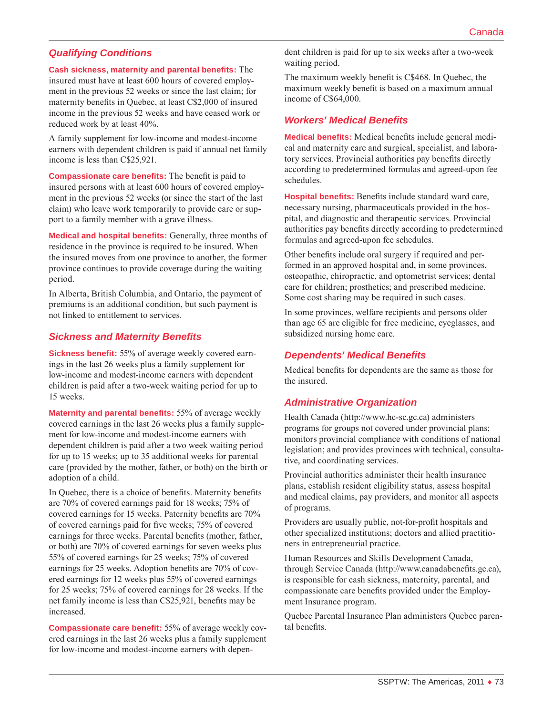# *Qualifying Conditions*

**Cash sickness, maternity and parental benefits:** The

insured must have at least 600 hours of covered employment in the previous 52 weeks or since the last claim; for maternity benefits in Quebec, at least C\$2,000 of insured income in the previous 52 weeks and have ceased work or reduced work by at least 40%.

A family supplement for low-income and modest-income earners with dependent children is paid if annual net family income is less than C\$25,921.

**Compassionate care benefits:** The benefit is paid to insured persons with at least 600 hours of covered employment in the previous 52 weeks (or since the start of the last claim) who leave work temporarily to provide care or support to a family member with a grave illness.

**Medical and hospital benefits:** Generally, three months of residence in the province is required to be insured. When the insured moves from one province to another, the former province continues to provide coverage during the waiting period.

In Alberta, British Columbia, and Ontario, the payment of premiums is an additional condition, but such payment is not linked to entitlement to services.

### *Sickness and Maternity Benefits*

**Sickness benefit:** 55% of average weekly covered earnings in the last 26 weeks plus a family supplement for low-income and modest-income earners with dependent children is paid after a two-week waiting period for up to 15 weeks.

**Maternity and parental benefits:** 55% of average weekly covered earnings in the last 26 weeks plus a family supplement for low-income and modest-income earners with dependent children is paid after a two week waiting period for up to 15 weeks; up to 35 additional weeks for parental care (provided by the mother, father, or both) on the birth or adoption of a child.

In Quebec, there is a choice of benefits. Maternity benefits are 70% of covered earnings paid for 18 weeks; 75% of covered earnings for 15 weeks. Paternity benefits are 70% of covered earnings paid for five weeks; 75% of covered earnings for three weeks. Parental benefits (mother, father, or both) are 70% of covered earnings for seven weeks plus 55% of covered earnings for 25 weeks; 75% of covered earnings for 25 weeks. Adoption benefits are 70% of covered earnings for 12 weeks plus 55% of covered earnings for 25 weeks; 75% of covered earnings for 28 weeks. If the net family income is less than C\$25,921, benefits may be increased.

**Compassionate care benefit:** 55% of average weekly covered earnings in the last 26 weeks plus a family supplement for low-income and modest-income earners with dependent children is paid for up to six weeks after a two-week waiting period.

The maximum weekly benefit is C\$468. In Quebec, the maximum weekly benefit is based on a maximum annual income of C\$64,000.

### *Workers' Medical Benefits*

**Medical benefits:** Medical benefits include general medical and maternity care and surgical, specialist, and laboratory services. Provincial authorities pay benefits directly according to predetermined formulas and agreed-upon fee schedules.

**Hospital benefits:** Benefits include standard ward care, necessary nursing, pharmaceuticals provided in the hospital, and diagnostic and therapeutic services. Provincial authorities pay benefits directly according to predetermined formulas and agreed-upon fee schedules.

Other benefits include oral surgery if required and performed in an approved hospital and, in some provinces, osteopathic, chiropractic, and optometrist services; dental care for children; prosthetics; and prescribed medicine. Some cost sharing may be required in such cases.

In some provinces, welfare recipients and persons older than age 65 are eligible for free medicine, eyeglasses, and subsidized nursing home care.

### *Dependents' Medical Benefits*

Medical benefits for dependents are the same as those for the insured.

# *Administrative Organization*

Health Canada ([http://www.hc-sc.gc.ca\)](http://www.hc-sc.gc.ca) administers programs for groups not covered under provincial plans; monitors provincial compliance with conditions of national legislation; and provides provinces with technical, consultative, and coordinating services.

Provincial authorities administer their health insurance plans, establish resident eligibility status, assess hospital and medical claims, pay providers, and monitor all aspects of programs.

Providers are usually public, not-for-profit hospitals and other specialized institutions; doctors and allied practitioners in entrepreneurial practice.

Human Resources and Skills Development Canada, through Service Canada [\(http://www.canadabenefits.gc.ca](http://www.canadabenefits.gc.ca)), is responsible for cash sickness, maternity, parental, and compassionate care benefits provided under the Employment Insurance program.

Quebec Parental Insurance Plan administers Quebec parental benefits.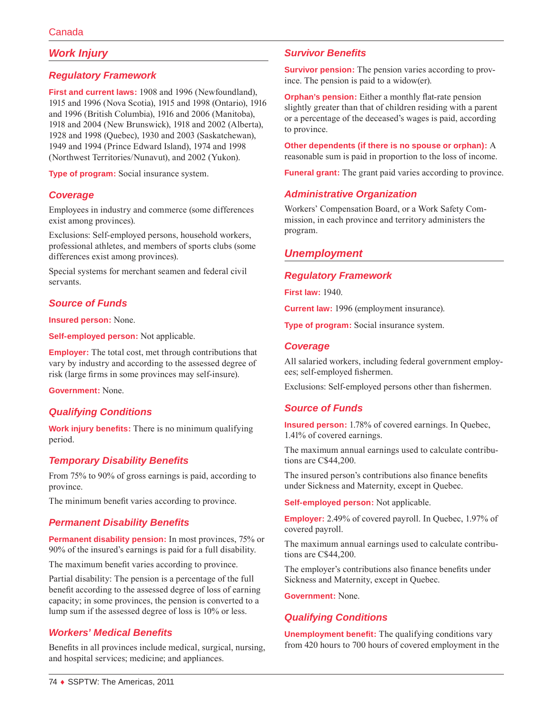# *Work Injury*

# *Regulatory Framework*

**First and current laws:** 1908 and 1996 (Newfoundland), 1915 and 1996 (Nova Scotia), 1915 and 1998 (Ontario), 1916 and 1996 (British Columbia), 1916 and 2006 (Manitoba), 1918 and 2004 (New Brunswick), 1918 and 2002 (Alberta), 1928 and 1998 (Quebec), 1930 and 2003 (Saskatchewan), 1949 and 1994 (Prince Edward Island), 1974 and 1998 (Northwest Territories/Nunavut), and 2002 (Yukon).

**Type of program:** Social insurance system.

### *Coverage*

Employees in industry and commerce (some differences exist among provinces).

Exclusions: Self-employed persons, household workers, professional athletes, and members of sports clubs (some differences exist among provinces).

Special systems for merchant seamen and federal civil servants.

# *Source of Funds*

**Insured person:** None.

**Self-employed person:** Not applicable.

**Employer:** The total cost, met through contributions that vary by industry and according to the assessed degree of risk (large firms in some provinces may self-insure).

**Government:** None.

# *Qualifying Conditions*

**Work injury benefits:** There is no minimum qualifying period.

# *Temporary Disability Benefits*

From 75% to 90% of gross earnings is paid, according to province.

The minimum benefit varies according to province.

### *Permanent Disability Benefits*

**Permanent disability pension:** In most provinces, 75% or 90% of the insured's earnings is paid for a full disability.

The maximum benefit varies according to province.

Partial disability: The pension is a percentage of the full benefit according to the assessed degree of loss of earning capacity; in some provinces, the pension is converted to a lump sum if the assessed degree of loss is 10% or less.

# *Workers' Medical Benefits*

Benefits in all provinces include medical, surgical, nursing, and hospital services; medicine; and appliances.

# *Survivor Benefits*

**Survivor pension:** The pension varies according to province. The pension is paid to a widow(er).

**Orphan's pension:** Either a monthly flat-rate pension slightly greater than that of children residing with a parent or a percentage of the deceased's wages is paid, according to province.

**Other dependents (if there is no spouse or orphan):** A reasonable sum is paid in proportion to the loss of income.

**Funeral grant:** The grant paid varies according to province.

# *Administrative Organization*

Workers' Compensation Board, or a Work Safety Commission, in each province and territory administers the program.

# *Unemployment*

### *Regulatory Framework*

**First law:** 1940.

**Current law:** 1996 (employment insurance).

**Type of program:** Social insurance system.

### *Coverage*

All salaried workers, including federal government employees; self-employed fishermen.

Exclusions: Self-employed persons other than fishermen.

# *Source of Funds*

**Insured person:** 1.78% of covered earnings. In Quebec, 1.41% of covered earnings.

The maximum annual earnings used to calculate contributions are C\$44,200.

The insured person's contributions also finance benefits under Sickness and Maternity, except in Quebec.

**Self-employed person:** Not applicable.

**Employer:** 2.49% of covered payroll. In Quebec, 1.97% of covered payroll.

The maximum annual earnings used to calculate contributions are C\$44,200.

The employer's contributions also finance benefits under Sickness and Maternity, except in Quebec.

**Government:** None.

# *Qualifying Conditions*

**Unemployment benefit:** The qualifying conditions vary from 420 hours to 700 hours of covered employment in the